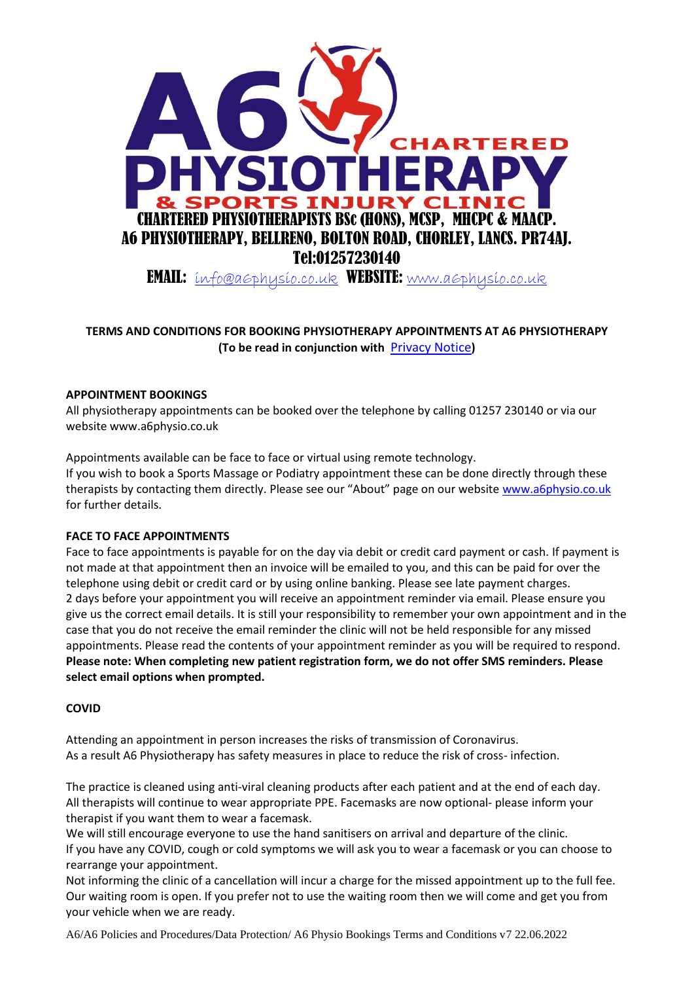

# **TERMS AND CONDITIONS FOR BOOKING PHYSIOTHERAPY APPOINTMENTS AT A6 PHYSIOTHERAPY (To be read in conjunction with** [Privacy Notice](https://a6physio.co.uk/wp-content/uploads/2020/11/Privacy.pdf)**)**

## **APPOINTMENT BOOKINGS**

All physiotherapy appointments can be booked over the telephone by calling 01257 230140 or via our website www.a6physio.co.uk

Appointments available can be face to face or virtual using remote technology.

If you wish to book a Sports Massage or Podiatry appointment these can be done directly through these therapists by contacting them directly. Please see our "About" page on our website [www.a6physio.co.uk](http://www.a6physio.co.uk/) for further details.

## **FACE TO FACE APPOINTMENTS**

Face to face appointments is payable for on the day via debit or credit card payment or cash. If payment is not made at that appointment then an invoice will be emailed to you, and this can be paid for over the telephone using debit or credit card or by using online banking. Please see late payment charges. 2 days before your appointment you will receive an appointment reminder via email. Please ensure you give us the correct email details. It is still your responsibility to remember your own appointment and in the case that you do not receive the email reminder the clinic will not be held responsible for any missed appointments. Please read the contents of your appointment reminder as you will be required to respond. **Please note: When completing new patient registration form, we do not offer SMS reminders. Please select email options when prompted.**

## **COVID**

Attending an appointment in person increases the risks of transmission of Coronavirus. As a result A6 Physiotherapy has safety measures in place to reduce the risk of cross- infection.

The practice is cleaned using anti-viral cleaning products after each patient and at the end of each day. All therapists will continue to wear appropriate PPE. Facemasks are now optional- please inform your therapist if you want them to wear a facemask.

We will still encourage everyone to use the hand sanitisers on arrival and departure of the clinic. If you have any COVID, cough or cold symptoms we will ask you to wear a facemask or you can choose to rearrange your appointment.

Not informing the clinic of a cancellation will incur a charge for the missed appointment up to the full fee. Our waiting room is open. If you prefer not to use the waiting room then we will come and get you from your vehicle when we are ready.

A6/A6 Policies and Procedures/Data Protection/ A6 Physio Bookings Terms and Conditions v7 22.06.2022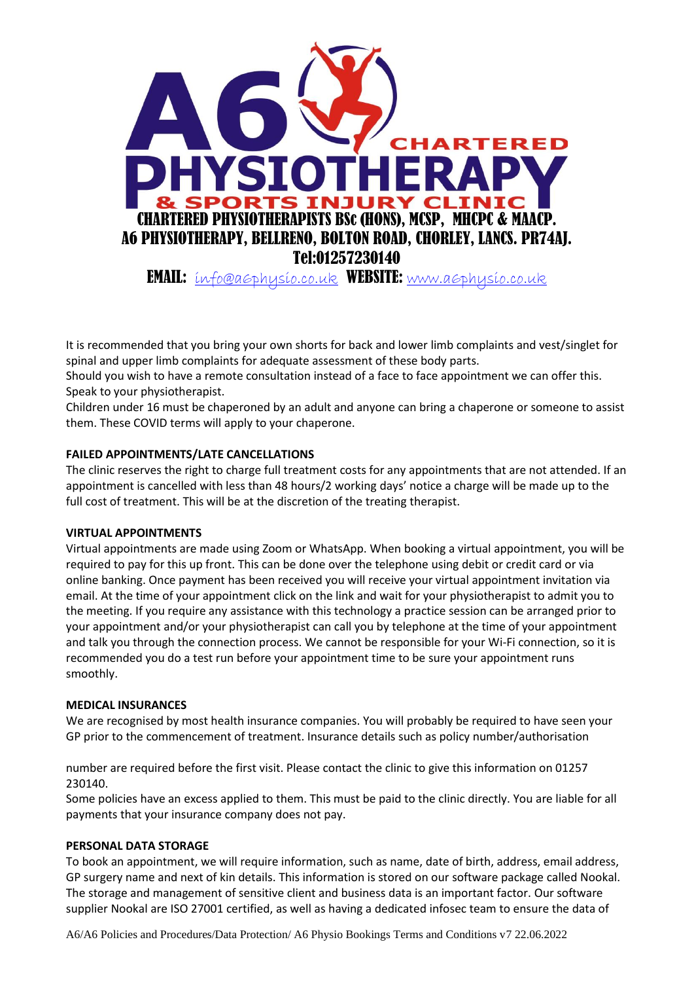

It is recommended that you bring your own shorts for back and lower limb complaints and vest/singlet for spinal and upper limb complaints for adequate assessment of these body parts.

Should you wish to have a remote consultation instead of a face to face appointment we can offer this. Speak to your physiotherapist.

Children under 16 must be chaperoned by an adult and anyone can bring a chaperone or someone to assist them. These COVID terms will apply to your chaperone.

## **FAILED APPOINTMENTS/LATE CANCELLATIONS**

The clinic reserves the right to charge full treatment costs for any appointments that are not attended. If an appointment is cancelled with less than 48 hours/2 working days' notice a charge will be made up to the full cost of treatment. This will be at the discretion of the treating therapist.

## **VIRTUAL APPOINTMENTS**

Virtual appointments are made using Zoom or WhatsApp. When booking a virtual appointment, you will be required to pay for this up front. This can be done over the telephone using debit or credit card or via online banking. Once payment has been received you will receive your virtual appointment invitation via email. At the time of your appointment click on the link and wait for your physiotherapist to admit you to the meeting. If you require any assistance with this technology a practice session can be arranged prior to your appointment and/or your physiotherapist can call you by telephone at the time of your appointment and talk you through the connection process. We cannot be responsible for your Wi-Fi connection, so it is recommended you do a test run before your appointment time to be sure your appointment runs smoothly.

## **MEDICAL INSURANCES**

We are recognised by most health insurance companies. You will probably be required to have seen your GP prior to the commencement of treatment. Insurance details such as policy number/authorisation

number are required before the first visit. Please contact the clinic to give this information on 01257 230140.

Some policies have an excess applied to them. This must be paid to the clinic directly. You are liable for all payments that your insurance company does not pay.

#### **PERSONAL DATA STORAGE**

To book an appointment, we will require information, such as name, date of birth, address, email address, GP surgery name and next of kin details. This information is stored on our software package called Nookal. The storage and management of sensitive client and business data is an important factor. Our software supplier Nookal are ISO 27001 certified, as well as having a dedicated infosec team to ensure the data of

A6/A6 Policies and Procedures/Data Protection/ A6 Physio Bookings Terms and Conditions v7 22.06.2022